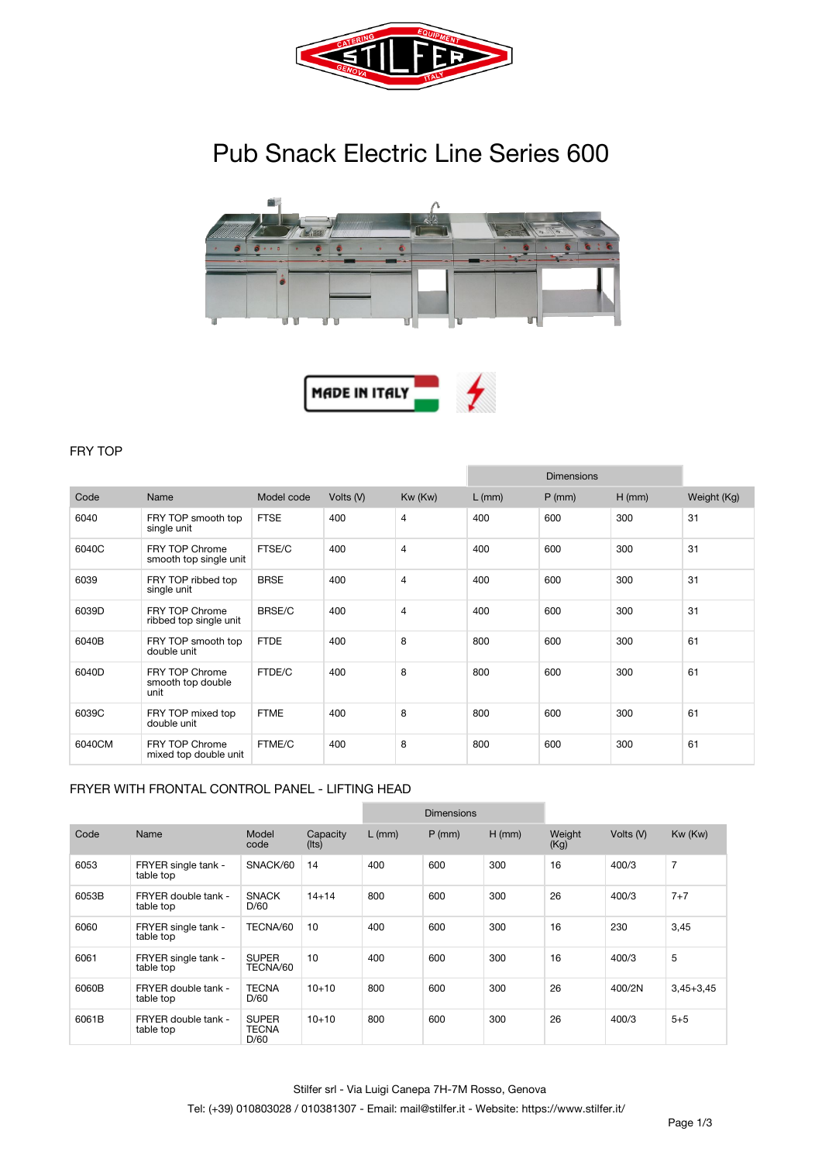

# **Pub Snack Electric Line Series 600**





## **FRY TOP**

|        |                                                 |               |           |                |          | <b>Dimensions</b> |          |             |
|--------|-------------------------------------------------|---------------|-----------|----------------|----------|-------------------|----------|-------------|
| Code   | Name                                            | Model code    | Volts (V) | Kw (Kw)        | $L$ (mm) | $P$ (mm)          | $H$ (mm) | Weight (Kg) |
| 6040   | FRY TOP smooth top<br>single unit               | <b>FTSE</b>   | 400       | $\overline{4}$ | 400      | 600               | 300      | 31          |
| 6040C  | <b>FRY TOP Chrome</b><br>smooth top single unit | FTSE/C        | 400       | $\overline{4}$ | 400      | 600               | 300      | 31          |
| 6039   | FRY TOP ribbed top<br>single unit               | <b>BRSE</b>   | 400       | $\overline{4}$ | 400      | 600               | 300      | 31          |
| 6039D  | <b>FRY TOP Chrome</b><br>ribbed top single unit | <b>BRSE/C</b> | 400       | $\overline{4}$ | 400      | 600               | 300      | 31          |
| 6040B  | FRY TOP smooth top<br>double unit               | <b>FTDE</b>   | 400       | 8              | 800      | 600               | 300      | 61          |
| 6040D  | FRY TOP Chrome<br>smooth top double<br>unit     | FTDE/C        | 400       | 8              | 800      | 600               | 300      | 61          |
| 6039C  | FRY TOP mixed top<br>double unit                | <b>FTME</b>   | 400       | 8              | 800      | 600               | 300      | 61          |
| 6040CM | <b>FRY TOP Chrome</b><br>mixed top double unit  | FTME/C        | 400       | 8              | 800      | 600               | 300      | 61          |

#### **FRYER WITH FRONTAL CONTROL PANEL - LIFTING HEAD**

|       |                                  |                                      |                         |          | <b>Dimensions</b> |          |                |           |                |
|-------|----------------------------------|--------------------------------------|-------------------------|----------|-------------------|----------|----------------|-----------|----------------|
| Code  | Name                             | Model<br>code                        | Capacity<br>$($ lts $)$ | $L$ (mm) | $P$ (mm)          | $H$ (mm) | Weight<br>(Kg) | Volts (V) | Kw (Kw)        |
| 6053  | FRYER single tank -<br>table top | SNACK/60                             | 14                      | 400      | 600               | 300      | 16             | 400/3     | $\overline{7}$ |
| 6053B | FRYER double tank -<br>table top | <b>SNACK</b><br>D/60                 | $14 + 14$               | 800      | 600               | 300      | 26             | 400/3     | $7 + 7$        |
| 6060  | FRYER single tank -<br>table top | TECNA/60                             | 10                      | 400      | 600               | 300      | 16             | 230       | 3,45           |
| 6061  | FRYER single tank -<br>table top | <b>SUPER</b><br>TECNA/60             | 10                      | 400      | 600               | 300      | 16             | 400/3     | 5              |
| 6060B | FRYER double tank -<br>table top | <b>TECNA</b><br>D/60                 | $10+10$                 | 800      | 600               | 300      | 26             | 400/2N    | $3,45+3,45$    |
| 6061B | FRYER double tank -<br>table top | <b>SUPER</b><br><b>TECNA</b><br>D/60 | $10 + 10$               | 800      | 600               | 300      | 26             | 400/3     | $5 + 5$        |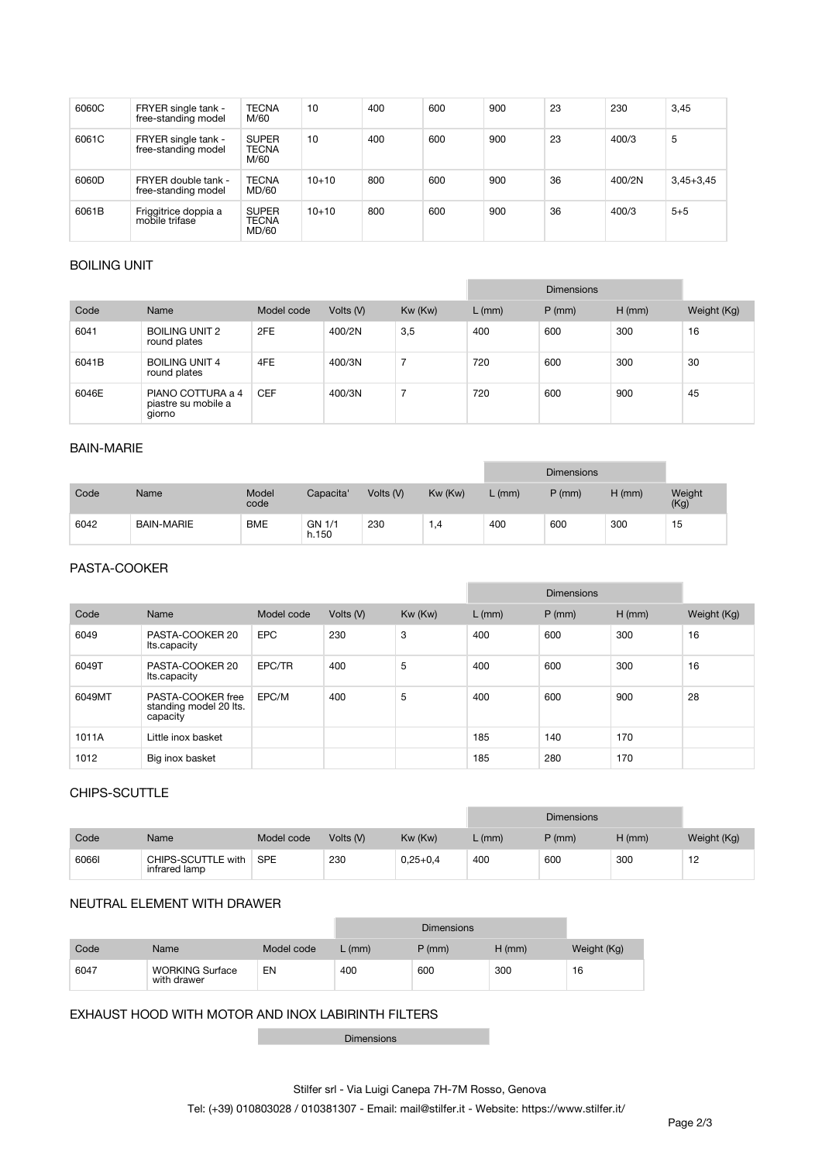| 6060C | FRYER single tank -<br>free-standing model | <b>TECNA</b><br>M/60                  | 10      | 400 | 600 | 900 | 23 | 230    | 3,45        |
|-------|--------------------------------------------|---------------------------------------|---------|-----|-----|-----|----|--------|-------------|
| 6061C | FRYER single tank -<br>free-standing model | <b>SUPER</b><br><b>TECNA</b><br>M/60  | 10      | 400 | 600 | 900 | 23 | 400/3  | 5           |
| 6060D | FRYER double tank -<br>free-standing model | <b>TECNA</b><br>MD/60                 | $10+10$ | 800 | 600 | 900 | 36 | 400/2N | $3,45+3,45$ |
| 6061B | Friggitrice doppia a<br>mobile trifase     | <b>SUPER</b><br><b>TECNA</b><br>MD/60 | $10+10$ | 800 | 600 | 900 | 36 | 400/3  | $5 + 5$     |

## **BOILING UNIT**

|       |                                                    |            |           |         |          | <b>Dimensions</b> |          |             |
|-------|----------------------------------------------------|------------|-----------|---------|----------|-------------------|----------|-------------|
| Code  | Name                                               | Model code | Volts (V) | Kw (Kw) | $L$ (mm) | $P$ (mm)          | $H$ (mm) | Weight (Kg) |
| 6041  | <b>BOILING UNIT 2</b><br>round plates              | 2FE        | 400/2N    | 3,5     | 400      | 600               | 300      | 16          |
| 6041B | <b>BOILING UNIT 4</b><br>round plates              | 4FE        | 400/3N    |         | 720      | 600               | 300      | 30          |
| 6046E | PIANO COTTURA a 4<br>piastre su mobile a<br>giorno | <b>CEF</b> | 400/3N    |         | 720      | 600               | 900      | 45          |

## **BAIN-MARIE**

|      |                   |               |                 |           |         |        | <b>Dimensions</b> |          |                |
|------|-------------------|---------------|-----------------|-----------|---------|--------|-------------------|----------|----------------|
| Code | Name              | Model<br>code | Capacita'       | Volts (V) | Kw (Kw) | L (mm) | $P$ (mm)          | $H$ (mm) | Weight<br>(Kg) |
| 6042 | <b>BAIN-MARIE</b> | <b>BME</b>    | GN 1/1<br>h.150 | 230       | .4      | 400    | 600               | 300      | 15             |

## **PASTA-COOKER**

|        |                                                         |            |           |         |          | <b>Dimensions</b> |          |             |
|--------|---------------------------------------------------------|------------|-----------|---------|----------|-------------------|----------|-------------|
| Code   | Name                                                    | Model code | Volts (V) | Kw (Kw) | $L$ (mm) | $P$ (mm)          | $H$ (mm) | Weight (Kg) |
| 6049   | PASTA-COOKER 20<br>Its.capacity                         | <b>EPC</b> | 230       | 3       | 400      | 600               | 300      | 16          |
| 6049T  | PASTA-COOKER 20<br>Its.capacity                         | EPC/TR     | 400       | 5       | 400      | 600               | 300      | 16          |
| 6049MT | PASTA-COOKER free<br>standing model 20 lts.<br>capacity | EPC/M      | 400       | 5       | 400      | 600               | 900      | 28          |
| 1011A  | Little inox basket                                      |            |           |         | 185      | 140               | 170      |             |
| 1012   | Big inox basket                                         |            |           |         | 185      | 280               | 170      |             |

### **CHIPS-SCUTTLE**

|       |                                     |            |           |              |        | <b>Dimensions</b> |          |             |
|-------|-------------------------------------|------------|-----------|--------------|--------|-------------------|----------|-------------|
| Code  | Name                                | Model code | Volts (V) | Kw (Kw)      | . (mm) | $P$ (mm)          | $H$ (mm) | Weight (Kg) |
| 60661 | CHIPS-SCUTTLE with<br>infrared lamp | <b>SPE</b> | 230       | $0.25 + 0.4$ | 400    | 600               | 300      | 12          |

#### **NEUTRAL ELEMENT WITH DRAWER**

|      |                                       |            |        | <b>Dimensions</b> |          |             |
|------|---------------------------------------|------------|--------|-------------------|----------|-------------|
| Code | Name                                  | Model code | L (mm) | $P$ (mm)          | $H$ (mm) | Weight (Kg) |
| 6047 | <b>WORKING Surface</b><br>with drawer | EN         | 400    | 600               | 300      | 16          |

#### **EXHAUST HOOD WITH MOTOR AND INOX LABIRINTH FILTERS**

Dimensions

۰